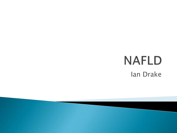## **NAFLD** Ian Drake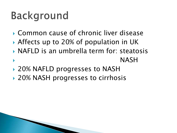## **Background**

- Common cause of chronic liver disease
- ▶ Affects up to 20% of population in UK
- NAFLD is an umbrella term for: steatosis NASH
- ▶ 20% NAFLD progresses to NASH
- ▶ 20% NASH progresses to cirrhosis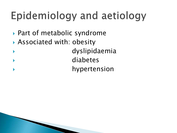# Epidemiology and aetiology

- ▶ Part of metabolic syndrome
- Associated with: obesity
	- dyslipidaemia diabetes
	- hypertension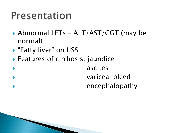#### Presentation

- Abnormal LFTs ALT/AST/GGT (may be normal)
- ▶ "Fatty liver" on USS
- Features of cirrhosis: jaundice

 ascites variceal bleed encephalopathy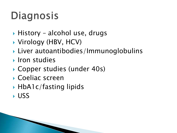# Diagnosis

- ▶ History alcohol use, drugs
- ▶ Virology (HBV, HCV)
- ▶ Liver autoantibodies/Immunoglobulins
- **I** Iron studies
- ▶ Copper studies (under 40s)
- Coeliac screen
- ▶ HbA1c/fasting lipids
- USS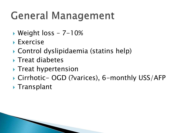## **General Management**

- Weight loss 7-10%
- Exercise
- Control dyslipidaemia (statins help)
- $\blacktriangleright$  Treat diabetes
- **Treat hypertension**
- Cirrhotic- OGD (?varices), 6-monthly USS/AFP
- ▶ Transplant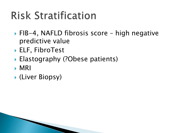# **Risk Stratification**

- ▶ FIB-4, NAFLD fibrosis score high negative predictive value
- ELF, FibroTest
- ▶ Elastography (?Obese patients)
- MRI
- (Liver Biopsy)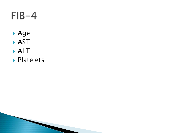#### $FIB-4$

- Age
- AST
- ALT
- Platelets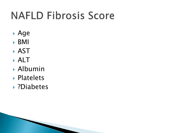# **NAFLD Fibrosis Score**

- Age
- $\triangleright$  BMI
- AST
- ALT
- Albumin
- Platelets
- ?Diabetes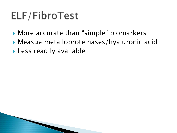### ELF/FibroTest

- ▶ More accurate than "simple" biomarkers
- Measue metalloproteinases/hyaluronic acid
- Less readily available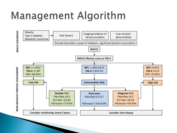### Management Algorithm